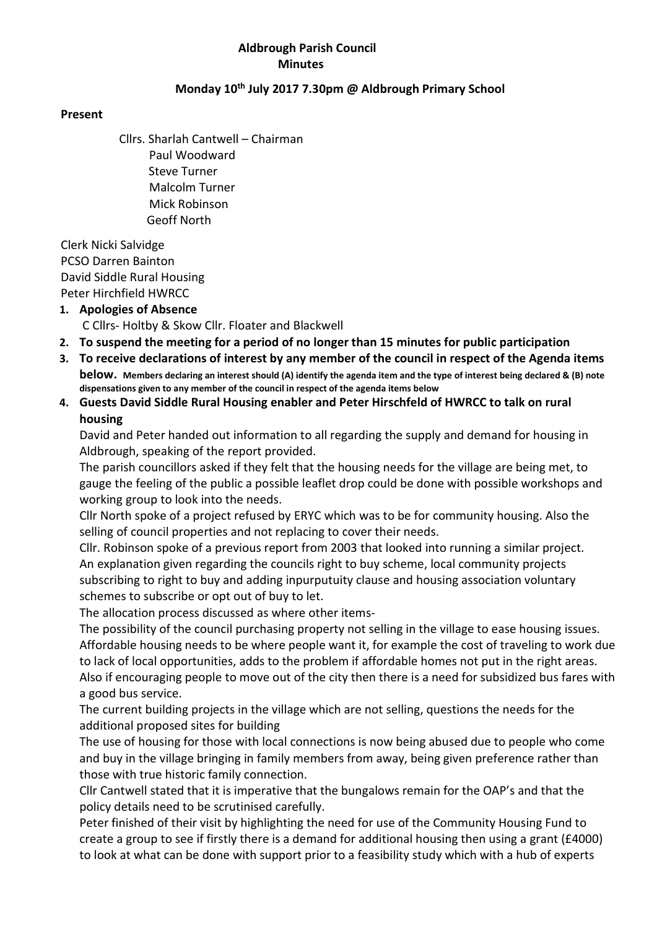#### Aldbrough Parish Council **Minutes**

#### Monday 10<sup>th</sup> July 2017 7.30pm @ Aldbrough Primary School

#### Present

Cllrs. Sharlah Cantwell – Chairman Paul Woodward Steve Turner Malcolm Turner Mick Robinson Geoff North

 Clerk Nicki Salvidge PCSO Darren Bainton David Siddle Rural Housing Peter Hirchfield HWRCC

#### 1. Apologies of Absence

C Cllrs- Holtby & Skow Cllr. Floater and Blackwell

- 2. To suspend the meeting for a period of no longer than 15 minutes for public participation
- 3. To receive declarations of interest by any member of the council in respect of the Agenda items below. Members declaring an interest should (A) identify the agenda item and the type of interest being declared & (B) note dispensations given to any member of the council in respect of the agenda items below
- 4. Guests David Siddle Rural Housing enabler and Peter Hirschfeld of HWRCC to talk on rural housing

David and Peter handed out information to all regarding the supply and demand for housing in Aldbrough, speaking of the report provided.

The parish councillors asked if they felt that the housing needs for the village are being met, to gauge the feeling of the public a possible leaflet drop could be done with possible workshops and working group to look into the needs.

Cllr North spoke of a project refused by ERYC which was to be for community housing. Also the selling of council properties and not replacing to cover their needs.

Cllr. Robinson spoke of a previous report from 2003 that looked into running a similar project. An explanation given regarding the councils right to buy scheme, local community projects subscribing to right to buy and adding inpurputuity clause and housing association voluntary schemes to subscribe or opt out of buy to let.

The allocation process discussed as where other items-

The possibility of the council purchasing property not selling in the village to ease housing issues. Affordable housing needs to be where people want it, for example the cost of traveling to work due to lack of local opportunities, adds to the problem if affordable homes not put in the right areas. Also if encouraging people to move out of the city then there is a need for subsidized bus fares with a good bus service.

The current building projects in the village which are not selling, questions the needs for the additional proposed sites for building

The use of housing for those with local connections is now being abused due to people who come and buy in the village bringing in family members from away, being given preference rather than those with true historic family connection.

Cllr Cantwell stated that it is imperative that the bungalows remain for the OAP's and that the policy details need to be scrutinised carefully.

Peter finished of their visit by highlighting the need for use of the Community Housing Fund to create a group to see if firstly there is a demand for additional housing then using a grant (£4000) to look at what can be done with support prior to a feasibility study which with a hub of experts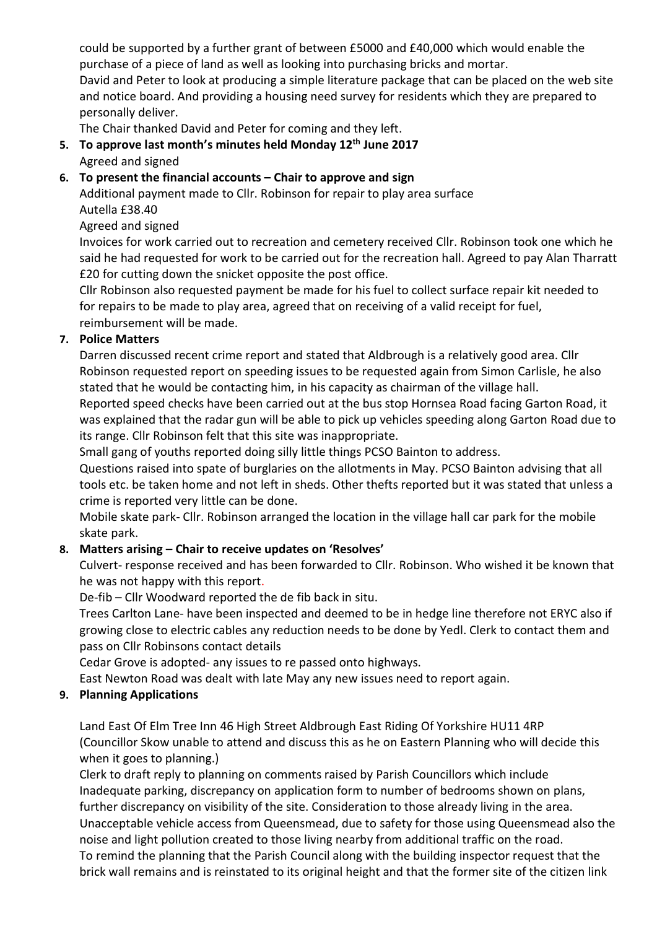could be supported by a further grant of between £5000 and £40,000 which would enable the purchase of a piece of land as well as looking into purchasing bricks and mortar. David and Peter to look at producing a simple literature package that can be placed on the web site and notice board. And providing a housing need survey for residents which they are prepared to personally deliver.

The Chair thanked David and Peter for coming and they left.

5. To approve last month's minutes held Monday  $12<sup>th</sup>$  June 2017 Agreed and signed

### 6. To present the financial accounts – Chair to approve and sign

Additional payment made to Cllr. Robinson for repair to play area surface Autella £38.40

Agreed and signed

Invoices for work carried out to recreation and cemetery received Cllr. Robinson took one which he said he had requested for work to be carried out for the recreation hall. Agreed to pay Alan Tharratt £20 for cutting down the snicket opposite the post office.

Cllr Robinson also requested payment be made for his fuel to collect surface repair kit needed to for repairs to be made to play area, agreed that on receiving of a valid receipt for fuel, reimbursement will be made.

#### 7. Police Matters

Darren discussed recent crime report and stated that Aldbrough is a relatively good area. Cllr Robinson requested report on speeding issues to be requested again from Simon Carlisle, he also stated that he would be contacting him, in his capacity as chairman of the village hall.

Reported speed checks have been carried out at the bus stop Hornsea Road facing Garton Road, it was explained that the radar gun will be able to pick up vehicles speeding along Garton Road due to its range. Cllr Robinson felt that this site was inappropriate.

Small gang of youths reported doing silly little things PCSO Bainton to address.

Questions raised into spate of burglaries on the allotments in May. PCSO Bainton advising that all tools etc. be taken home and not left in sheds. Other thefts reported but it was stated that unless a crime is reported very little can be done.

Mobile skate park- Cllr. Robinson arranged the location in the village hall car park for the mobile skate park.

## 8. Matters arising – Chair to receive updates on 'Resolves'

Culvert- response received and has been forwarded to Cllr. Robinson. Who wished it be known that he was not happy with this report.

De-fib – Cllr Woodward reported the de fib back in situ.

Trees Carlton Lane- have been inspected and deemed to be in hedge line therefore not ERYC also if growing close to electric cables any reduction needs to be done by Yedl. Clerk to contact them and pass on Cllr Robinsons contact details

Cedar Grove is adopted- any issues to re passed onto highways.

East Newton Road was dealt with late May any new issues need to report again.

## 9. Planning Applications

Land East Of Elm Tree Inn 46 High Street Aldbrough East Riding Of Yorkshire HU11 4RP (Councillor Skow unable to attend and discuss this as he on Eastern Planning who will decide this when it goes to planning.)

Clerk to draft reply to planning on comments raised by Parish Councillors which include Inadequate parking, discrepancy on application form to number of bedrooms shown on plans, further discrepancy on visibility of the site. Consideration to those already living in the area. Unacceptable vehicle access from Queensmead, due to safety for those using Queensmead also the noise and light pollution created to those living nearby from additional traffic on the road. To remind the planning that the Parish Council along with the building inspector request that the brick wall remains and is reinstated to its original height and that the former site of the citizen link